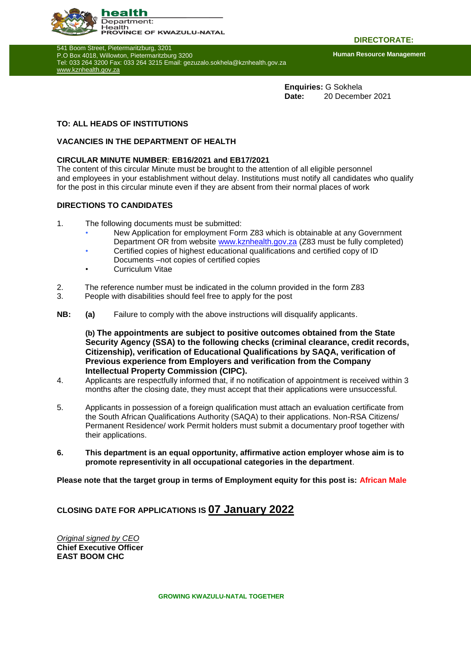

541 Boom Street, Pietermaritzburg, 3201 P.O Box 4018, Willowton, Pietermaritzburg 3200 Tel: 033 264 3200 Fax: 033 264 3215 Email: gezuzalo.sokhela@kznhealth.gov.za [www.kznhealth.gov.za](http://www.kznhealth.gov.za/)

**DIRECTORATE:**

**Human Resource Management**

**Enquiries:** G Sokhela **Date:** 20 December 2021

### **TO: ALL HEADS OF INSTITUTIONS**

#### **VACANCIES IN THE DEPARTMENT OF HEALTH**

### **CIRCULAR MINUTE NUMBER**: **EB16/2021 and EB17/2021**

The content of this circular Minute must be brought to the attention of all eligible personnel and employees in your establishment without delay. Institutions must notify all candidates who qualify for the post in this circular minute even if they are absent from their normal places of work

#### **DIRECTIONS TO CANDIDATES**

- 1. The following documents must be submitted:
	- New Application for employment Form Z83 which is obtainable at any Government Department OR from website [www.kznhealth.gov.za](http://www.kznhealth.gov.za/) (Z83 must be fully completed)
	- Certified copies of highest educational qualifications and certified copy of ID Documents –not copies of certified copies
	- Curriculum Vitae
- 2. The reference number must be indicated in the column provided in the form Z83
- 3. People with disabilities should feel free to apply for the post
- **NB: (a)** Failure to comply with the above instructions will disqualify applicants.

**(b) The appointments are subject to positive outcomes obtained from the State Security Agency (SSA) to the following checks (criminal clearance, credit records, Citizenship), verification of Educational Qualifications by SAQA, verification of Previous experience from Employers and verification from the Company Intellectual Property Commission (CIPC).**

- 4. Applicants are respectfully informed that, if no notification of appointment is received within 3 months after the closing date, they must accept that their applications were unsuccessful.
- 5. Applicants in possession of a foreign qualification must attach an evaluation certificate from the South African Qualifications Authority (SAQA) to their applications. Non-RSA Citizens/ Permanent Residence/ work Permit holders must submit a documentary proof together with their applications.
- **6. This department is an equal opportunity, affirmative action employer whose aim is to promote representivity in all occupational categories in the department**.

**Please note that the target group in terms of Employment equity for this post is: African Male**

## **CLOSING DATE FOR APPLICATIONS IS 07 January 2022**

*Original signed by CEO* **Chief Executive Officer EAST BOOM CHC**

**GROWING KWAZULU-NATAL TOGETHER**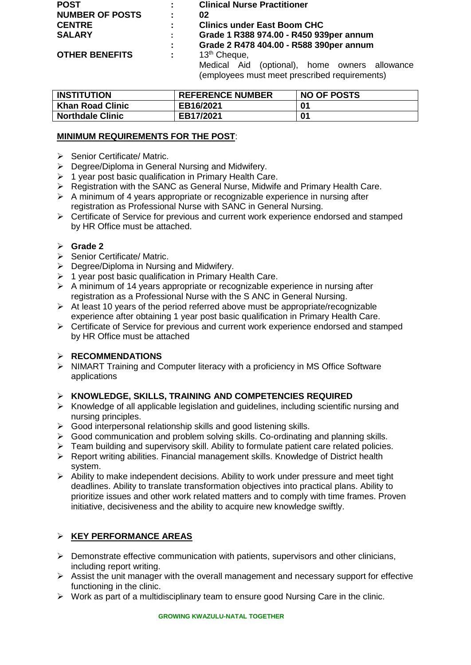| <b>POST</b>            | ÷. | <b>Clinical Nurse Practitioner</b>               |  |  |
|------------------------|----|--------------------------------------------------|--|--|
| <b>NUMBER OF POSTS</b> | ÷. | 02                                               |  |  |
| <b>CENTRE</b>          |    | <b>Clinics under East Boom CHC</b>               |  |  |
| <b>SALARY</b>          | ÷. | Grade 1 R388 974.00 - R450 939per annum          |  |  |
|                        | ÷. | Grade 2 R478 404.00 - R588 390per annum          |  |  |
| <b>OTHER BENEFITS</b>  | ÷. | 13 <sup>th</sup> Cheque,                         |  |  |
|                        |    | (optional), home owners allowance<br>Medical Aid |  |  |
|                        |    | (employees must meet prescribed requirements)    |  |  |

| <b>INSTITUTION</b>      | <b>REFERENCE NUMBER</b> | <b>NO OF POSTS</b> |
|-------------------------|-------------------------|--------------------|
| <b>Khan Road Clinic</b> | EB16/2021               | 01                 |
| <b>Northdale Clinic</b> | EB17/2021               | 01                 |

## **MINIMUM REQUIREMENTS FOR THE POST**:

- $\triangleright$  Senior Certificate/ Matric.
- Degree/Diploma in General Nursing and Midwifery.
- $\triangleright$  1 year post basic qualification in Primary Health Care.
- ▶ Registration with the SANC as General Nurse, Midwife and Primary Health Care.
- $\triangleright$  A minimum of 4 years appropriate or recognizable experience in nursing after registration as Professional Nurse with SANC in General Nursing.
- Certificate of Service for previous and current work experience endorsed and stamped by HR Office must be attached.

## **Grade 2**

- Senior Certificate/ Matric.
- Degree/Diploma in Nursing and Midwifery.
- $\geq 1$  year post basic qualification in Primary Health Care.
- $\triangleright$  A minimum of 14 years appropriate or recognizable experience in nursing after registration as a Professional Nurse with the S ANC in General Nursing.
- $\triangleright$  At least 10 years of the period referred above must be appropriate/recognizable experience after obtaining 1 year post basic qualification in Primary Health Care.
- $\triangleright$  Certificate of Service for previous and current work experience endorsed and stamped by HR Office must be attached

## **RECOMMENDATIONS**

 $\triangleright$  NIMART Training and Computer literacy with a proficiency in MS Office Software applications

## **KNOWLEDGE, SKILLS, TRAINING AND COMPETENCIES REQUIRED**

- $\triangleright$  Knowledge of all applicable legislation and guidelines, including scientific nursing and nursing principles.
- $\triangleright$  Good interpersonal relationship skills and good listening skills.
- $\triangleright$  Good communication and problem solving skills. Co-ordinating and planning skills.
- Feam building and supervisory skill. Ability to formulate patient care related policies.
- Report writing abilities. Financial management skills. Knowledge of District health system.
- $\triangleright$  Ability to make independent decisions. Ability to work under pressure and meet tight deadlines. Ability to translate transformation objectives into practical plans. Ability to prioritize issues and other work related matters and to comply with time frames. Proven initiative, decisiveness and the ability to acquire new knowledge swiftly.

# **KEY PERFORMANCE AREAS**

- $\triangleright$  Demonstrate effective communication with patients, supervisors and other clinicians, including report writing.
- Assist the unit manager with the overall management and necessary support for effective functioning in the clinic.
- $\triangleright$  Work as part of a multidisciplinary team to ensure good Nursing Care in the clinic.